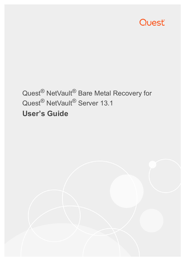

# Quest<sup>®</sup> NetVault<sup>®</sup> Bare Metal Recovery for Quest® NetVault® Server 13.1 **User's Guide**

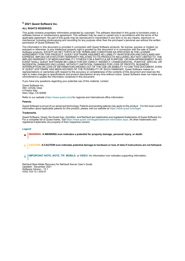### **© 2021 Quest Software Inc.**

### **ALL RIGHTS RESERVED.**

This guide contains proprietary information protected by copyright. The software described in this guide is furnished under a software license or nondisclosure agreement. This software may be used or copied only in accordance with the terms of the applicable agreement. No part of this guide may be reproduced or transmitted in any form or by any means, electronic or mechanical, including photocopying and recording for any purpose other than the purchaser's personal use without the written permission of Quest Software Inc.

The information in this document is provided in connection with Quest Software products. No license, express or implied, by estoppel or otherwise, to any intellectual property right is granted by this document or in connection with the sale of Quest Software products. EXCEPT AS SET FORTH IN THE TERMS AND CONDITIONS AS SPECIFIED IN THE LICENSE AGREEMENT FOR THIS PRODUCT, QUEST SOFTWARE ASSUMES NO LIABILITY WHATSOEVER AND DISCLAIMS ANY EXPRESS, IMPLIED OR STATUTORY WARRANTY RELATING TO ITS PRODUCTS INCLUDING, BUT NOT LIMITED TO, THE IMPLIED WARRANTY OF MERCHANTABILITY, FITNESS FOR A PARTICULAR PURPOSE, OR NON-INFRINGEMENT. IN NO EVENT SHALL QUEST SOFTWARE BE LIABLE FOR ANY DIRECT, INDIRECT, CONSEQUENTIAL, PUNITIVE, SPECIAL OR INCIDENTAL DAMAGES (INCLUDING, WITHOUT LIMITATION, DAMAGES FOR LOSS OF PROFITS, BUSINESS INTERRUPTION OR LOSS OF INFORMATION) ARISING OUT OF THE USE OR INABILITY TO USE THIS DOCUMENT, EVEN IF QUEST SOFTWARE HAS BEEN ADVISED OF THE POSSIBILITY OF SUCH DAMAGES. Quest Software makes no representations or warranties with respect to the accuracy or completeness of the contents of this document and reserves the right to make changes to specifications and product descriptions at any time without notice. Quest Software does not make any commitment to update the information contained in this document.

If you have any questions regarding your potential use of this material, contact:

Quest Software Inc. Attn: LEGAL Dept. 4 Polaris Way Aliso Viejo, CA 92656

Refer to our website [\(https://www.quest.com](https://www.quest.com)) for regional and international office information.

#### **Patents**

Quest Software is proud of our advanced technology. Patents and pending patents may apply to this product. For the most current information about applicable patents for this product, please visit our website at [https://www.quest.com/legal.](https://www.quest.com/legal)

#### **Trademarks**

Quest Software, Quest, the Quest logo, QoreStor, and NetVault are trademarks and registered trademarks of Quest Software Inc. For a complete list of Quest marks, visit [https://www.quest.com/legal/trademark-information.aspx.](https://www.quest.com/legal/trademark-information.aspx) All other trademarks and registered trademarks are property of their respective owners.

#### **Legend**

- **WARNING: A WARNING icon indicates a potential for property damage, personal injury, or death.**
- **CAUTION: A CAUTION icon indicates potential damage to hardware or loss of data if instructions are not followed.** Ţ
- **IMPORTANT NOTE**, **NOTE**, **TIP**, **MOBILE**, or **VIDEO:** An information icon indicates supporting information.f

NetVault Bare Metal Recovery for NetVault Server User's Guide Updated - December 2021 Software Version - 13.1 VOG-103-13.1-EN-01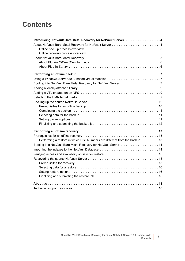### **Contents**

| Introducing NetVault Bare Metal Recovery for NetVault Server  4             |
|-----------------------------------------------------------------------------|
|                                                                             |
|                                                                             |
|                                                                             |
|                                                                             |
|                                                                             |
|                                                                             |
|                                                                             |
|                                                                             |
|                                                                             |
|                                                                             |
|                                                                             |
|                                                                             |
|                                                                             |
|                                                                             |
|                                                                             |
|                                                                             |
|                                                                             |
|                                                                             |
|                                                                             |
|                                                                             |
| Performing a restore in which Disk Numbers are different from the backup 13 |
| Booting into NetVault Bare Metal Recovery for NetVault Server  14           |
|                                                                             |
|                                                                             |
|                                                                             |
|                                                                             |
|                                                                             |
|                                                                             |
|                                                                             |
|                                                                             |
|                                                                             |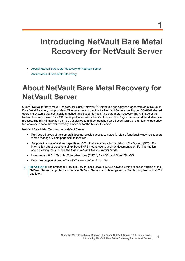# <span id="page-3-0"></span>**Introducing NetVault Bare Metal Recovery for NetVault Server**

- **•** [About NetVault Bare Metal Recovery for NetVault Server](#page-3-1)
- **•** [About NetVault Bare Metal Recovery](#page-4-2)

# <span id="page-3-1"></span>**About NetVault Bare Metal Recovery for NetVault Server**

Quest<sup>®</sup> NetVault<sup>®</sup> Bare Metal Recovery for Quest<sup>®</sup> NetVault<sup>®</sup> Server is a specially packaged version of NetVault Bare Metal Recovery that provides offline bare metal protection for NetVault Servers running on x86/x86-64-based operating systems that use locally-attached tape-based devices. The bare metal recovery (BMR) image of the NetVault Server is taken by a CD that is preloaded with a NetVault Server, the Plug-in *Server*, and the **drdaemon** process. The BMR image can then be transferred to a direct-attached tape-based library or standalone tape drive for recovery in case disaster recovery is needed for the NetVault Server.

NetVault Bare Metal Recovery for NetVault Server:

- **•** Provides a backup of the server; it does not provide access to network-related functionality such as support for the Manage Clients page and its features.
- **•** Supports the use of a virtual tape library (VTL) that was created on a Network File System (NFS). For information about creating a Linux-based NFS mount, see your Linux documentation. For information about creating the VTL, see the *Quest NetVault Administrator's Guide*.
- **•** Uses version 8.3 of Red Hat Enterprise Linux (RHEL), CentOS, and Quest GigaOS.
- **•** Does *not* support shared VTLs (SVTLs) or NetVault SmartDisk.
- **IMPORTANT:** The preloaded NetVault Server uses NetVault 13.0.2; however, this preloaded version of the NetVault Server can protect and recover NetVault Servers and Heterogeneous Clients using NetVault v8.2.2 and later.

**1**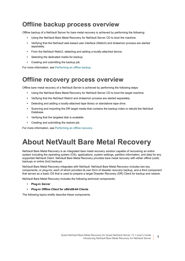### <span id="page-4-0"></span>**Offline backup process overview**

Offline backup of a NetVault Server for bare metal recovery is achieved by performing the following:

- **•** Using the NetVault Bare Metal Recovery for NetVault Server CD to boot the machine.
- **•** Verifying that the NetVault web-based user interface (WebUI) and drdaemon process are started separately.
- **•** From the NetVault WebUI, detecting and adding a locally-attached device.
- **•** Selecting the dedicated media for backup.
- **•** Creating and submitting the backup job.

For more information, see [Performing an offline backup.](#page-6-3)

### <span id="page-4-1"></span>**Offline recovery process overview**

Offline bare metal recovery of a NetVault Server is achieved by performing the following steps:

- **•** Using the NetVault Bare Metal Recovery for NetVault Server CD to boot the target machine.
- **•** Verifying that the NetVault WebUI and drdaemon process are started separately.
- **•** Detecting and adding a locally-attached tape library or standalone tape drive.
- **•** Scanning and importing the DR target media that contains the backup index to rebuild the NetVault Database.
- **•** Verifying that the targeted disk is available.
- **•** Creating and submitting the restore job.

For more information, see [Performing an offline recovery](#page-12-3).

# <span id="page-4-2"></span>**About NetVault Bare Metal Recovery**

NetVault Bare Metal Recovery is an integrated bare metal recovery solution capable of recovering an entire system including the operating system (OS), applications, system settings, partition information, and data for any supported NetVault Client. NetVault Bare Metal Recovery provides bare metal recovery with either offline (cold) backups or online (hot) backups.

NetVault Bare Metal Recovery integrates with NetVault. NetVault Bare Metal Recovery includes two key components, or plug-ins, each of which provides its own form of disaster recovery backup, and a third component that serves as a basic OS that is used to prepare a target Disaster Recovery (DR) Client for backup and restore.

NetVault Bare Metal Recovery includes the following technical components:

- **• Plug-in** *Server*
- **• Plug-in** *Offline Client* **for x86/x86-64 Clients**

The following topics briefly describe these components.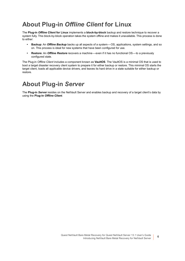### <span id="page-5-0"></span>**About Plug-in** *Offline Client* **for Linux**

The **Plug-in** *Offline Client* **for Linux** implements a **block-by-block** backup and restore technique to recover a system fully. This block-by-block operation takes the system offline and makes it unavailable. This process is done to either:

- **• Backup**: An *Offline Backup* backs up all aspects of a system—OS, applications, system settings, and so on. This process is ideal for new systems that have been configured for use.
- **• Restore**: An *Offline Restore* recovers a machine—even if it has no functional OS—to a previously configured state.

The Plug-in *Offline Client* includes a component known as **VaultOS**. The VaultOS is a minimal OS that is used to boot a target disaster recovery client system to prepare it for either backup or restore. This minimal OS starts the target client, loads all applicable device drivers, and leaves its hard drive in a state suitable for either backup or restore.

### <span id="page-5-1"></span>**About Plug-in** *Server*

The **Plug-in** *Server* resides on the NetVault Server and enables backup and recovery of a target client's data by using the **Plug-in** *Offline Client*.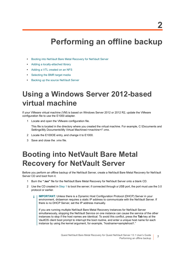# <span id="page-6-3"></span>**Performing an offline backup**

- <span id="page-6-0"></span>**•** [Booting into NetVault Bare Metal Recovery for NetVault Server](#page-6-2)
- **•** [Adding a locally-attached library](#page-8-0)
- **•** [Adding a VTL created on an NFS](#page-8-1)
- **•** [Selecting the BMR target media](#page-8-2)
- **•** [Backing up the source NetVault Server](#page-9-0)

# <span id="page-6-5"></span><span id="page-6-1"></span>**Using a Windows Server 2012-based virtual machine**

If your VMware virtual machine (VM) is based on Windows Server 2012 or 2012 R2, update the VMware configuration file to use the E1000 adapter.

1 Locate and open the VMware configuration file.

This file is located in the directory where you created the virtual machine. For example, C:\Documents and Settings\My Documents\My Virtual Machines\*<machine>*\\*.vmx.

- 2 Locate the E100OE entry, and change it to E1000.
- 3 Save and close the .vmx file.

# <span id="page-6-6"></span><span id="page-6-2"></span>**Booting into NetVault Bare Metal Recovery for NetVault Server**

Before you perform an offline backup of the NetVault Server, create a NetVault Bare Metal Recovery for NetVault Server CD and boot from it.

- <span id="page-6-4"></span>1 Burn the **".iso"** file for the NetVault Bare Metal Recovery for NetVault Server onto a blank CD.
- 2 Use the CD created in [Step 1](#page-6-4) to boot the server; if connected through a USB port, the port must use the 3.0 protocol or earlier.
	- **IMPORTANT:** Unless there is a Dynamic Host Configuration Protocol (DHCP) Server in your f. environment, drdaemon requires a static IP address to communicate with the NetVault Server. If there is no DHCP Server, set the IP address manually.

If you are running multiple NetVault Bare Metal Recovery instances for NetVault Server simultaneously, stopping the NetVault Service on one instance can cause the service of the other instances to stop if the host names are identical. To avoid this conflict, press the **Tab** key at the VaultOS client boot prompt to interrupt the boot routine, and enter a unique host name for each instance by using the kernel argument, for example, "hostname=samplehost1."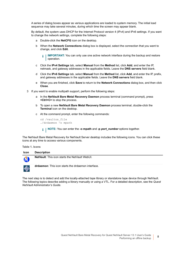A series of dialog boxes appear as various applications are loaded to system memory. The initial load sequence may take several minutes, during which time the screen may appear blank.

By default, the system uses DHCP for the Internet Protocol version 4 (IPv4) and IPv6 settings. If you want to change the network settings, complete the following steps:

- a Double-click the **NetCFG** icon on the desktop.
- b When the **Network Connections** dialog box is displayed, select the connection that you want to change, and click **Edit**.

**IMPORTANT:** You can only use one active network interface during the backup and restore ÷ operation.

- c Click the **IPv4 Settings** tab, select **Manual** from the **Method** list, click **Add**, and enter the IP, netmask, and gateway addresses in the applicable fields. Leave the **DNS servers** field blank.
- d Click the **IPv6 Settings** tab, select **Manual** from the **Method** list, click **Add**, and enter the IP, prefix, and gateway addresses in the applicable fields. Leave the **DNS servers** field blank.
- e When you are finished, click **Save** to return to the **Network Connections** dialog box, and then click **Close**.
- 3 If you want to enable multipath support, perform the following steps:
	- a In the **NetVault Bare Metal Recovery Daemon** process terminal (command prompt), press **<Ctrl+C>** to stop the process.
	- b To open a new **NetVault Bare Metal Recovery Daemon** process terminal, double-click the **Terminal** icon on the desktop.
	- c At the command prompt, enter the following commands:

cd /vaultos\_file ./drdaemon -o mpath

**NOTE:** You can enter the **-o mpath** and **-p** *port\_number* options together.

The NetVault Bare Metal Recovery for NetVault Server desktop includes the following icons. You can click these icons at any time to access various components.

**Table 1. Icons**

| <b>Icon</b> | <b>Description</b>                                        |
|-------------|-----------------------------------------------------------|
| N           | <b>NetVault:</b> This icon starts the NetVault WebUI.     |
| ♠           | <b>drdaemon:</b> This icon starts the drdaemon interface. |

The next step is to detect and add the locally-attached tape library or standalone tape device through NetVault. The following topics describe adding a library manually or using a VTL. For a detailed description, see the *Quest NetVault Administrator's Guide*.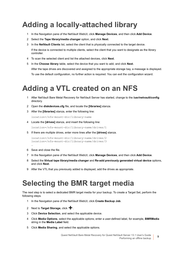# <span id="page-8-0"></span>**Adding a locally-attached library**

- 1 In the Navigation pane of the NetVault WebUI, click **Manage Devices**, and then click **Add Device**.
- 2 Select the **Tape library/media changer** option, and click **Next**.
- 3 In the **NetVault Clients** list, select the client that is physically connected to the target device. If the device is connected to multiple clients, select the client that you want to designate as the library controller.
- 4 To scan the selected client and list the attached devices, click **Next**.
- 5 In the **Choose library** table, select the device that you want to add, and click **Next**. After the tape drives are discovered and assigned to the appropriate storage bay, a message is displayed. To use the default configuration, no further action is required. You can exit the configuration wizard.

# <span id="page-8-1"></span>**Adding a VTL created on an NFS**

- 1 After NetVault Bare Metal Recovery for NetVault Server has started, change to the **/usr/netvault/config** directory.
- 2 Open the **diskdevices.cfg** file, and locate the **[libraries]** stanza.
- 3 After the **[libraries]** stanza, enter the following line:

location=/nfs-mount-dir/library-name

4 Locate the **[drives]** stanza, and insert the following line:

location=/nfs-mount-dir/library-name/drives/1

5 If there are multiple drives, enter more lines after the **[drives]** stanza.

```
location=/nfs-mount-dir/library-name/drives/2
location=/nfs-mount-dir/library-name/drives/3
```
6 Save and close the file.

…

- 7 In the Navigation pane of the NetVault WebUI, click **Manage Devices**, and then click **Add Device**.
- 8 Select the **Virtual tape library/media changer** and **Re-add previously generated virtual device** options, and click **Next**.
- 9 After the VTL that you previously added is displayed, add the drives as appropriate.

## <span id="page-8-2"></span>**Selecting the BMR target media**

The next step is to select a dedicated BMR target media for your backup. To create a Target Set, perform the following steps.

- 1 In the Navigation pane of the NetVault WebUI, click **Create Backup Job**.
- 2 Next to **Target Storage**, click  $\textbf{+}$ .
- 3 Click **Device Selection**, and select the applicable device.
- 4 Click **Media Options**, select the applicable options; enter a user-defined label, for example, **BMRMedia**  string in the **Media Label** field.
- 5 Click **Media Sharing**, and select the applicable options.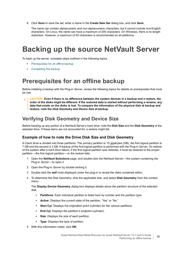6 Click **Save** to save the set, enter a name in the **Create New Set** dialog box, and click **Save**.

The name can contain alphanumeric and non-alphanumeric characters, but it cannot include non-English characters. On Linux, the name can have a maximum of 200 characters. On Windows, there is no length restriction. However, a maximum of 40 characters is recommended on all platforms.

# <span id="page-9-0"></span>**Backing up the source NetVault Server**

To back up the server, complete steps outlined in the following topics.

- **•** [Prerequisites for an offline backup](#page-9-1)
- **•** [Completing the backup](#page-10-0)

### <span id="page-9-1"></span>**Prerequisites for an offline backup**

Before initiating a backup with the Plug-in *Server*, review the following topics for details on prerequisites that must be met.

**CAUTION: Even if there is no difference between the system devices in a backup and a restore, the order of the disks might be different. If the restored data is started without performing a rename, any data that exists on the disks is lost. To compare the information of the physical disk at backup and restore, note the** *Disk Geometry* **and** *Device Size* **at backup.**

### **Verifying Disk Geometry and Device Size**

Before backing up any portion of a NetVault Server's hard drive, note the **Disk Size** and the **Disk Geometry** of the selected drive. If these items are not accounted for, a restore might fail.

### **Example of how to note the Drive Disk Size and Disk Geometry**

A Client drive is divided into three partitions. The primary partition is 10 gigabytes (GB), the first logical partition is 7 GB and the second is 3 GB. A backup of the first logical partition is performed with the Plug-in *Server*. On restore of the system after a hard drive failure, if the first logical partition was restored, it must be restored to the proper partition—the first logical partition—or the restore fails.

- 1 Open the **NetVault Selections** page, and double-click the NetVault Server—the system containing the Plug-in *Server*—to open it.
- 2 Open the Plug-in *Server* by double-clicking it.
- 3 Double-click the **self** node displayed under the plug-in to reveal the disks contained within.
- 4 To determine the Disk Geometry, click the applicable disk, and select **Disk Geometry** from the context menu.

The **Display Device Geometry** dialog box displays details about the partition structure of the selected disk.

- **▪ Partitions**: Each individual partition is listed here by number and the partition type.
- **▪ Active**: Displays the current state of the partition, "Yes" or "No."
- **Start Cyl:** Displays the origination point (cylinder) for the various partitions.
- **▪ End Cyl**: Displays the partition's endpoint (cylinder).
- **▪ Size**: Displays the size of each partition.
- **Type**: Displays the type of partition.
- 5 With this information noted, click **OK**.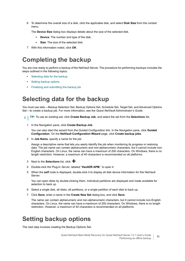6 To determine the overall size of a disk, click the applicable disk, and select **Disk Size** from the context menu.

The **Device Size** dialog box displays details about the size of the selected disk.

- **▪ Device**: The number and type of the disk.
- **Size:** The size of the selected disk.
- 7 With this information noted, click **OK**.

### <span id="page-10-0"></span>**Completing the backup**

You are now ready to perform a backup of the NetVault Server. The procedure for performing backups includes the steps outlined in the following topics:

- **•** [Selecting data for the backup](#page-10-1)
- **•** [Setting backup options](#page-10-2)
- **•** [Finalizing and submitting the backup job](#page-11-0)

### <span id="page-10-1"></span>**Selecting data for the backup**

You must use sets—Backup Selection Set, Backup Options Set, Schedule Set, Target Set, and Advanced Options Set—to create a backup job. For more information, see the *Quest NetVault Administrator's Guide*.

- **TIP:** To use an existing set, click **Create Backup Job**, and select the set from the **Selections** list.
	- 1 In the Navigation pane, click **Create Backup Job**.

You can also start the wizard from the Guided Configuration link. In the Navigation pane, click **Guided Configuration**. On the **NetVault Configuration Wizard** page, click **Create backup jobs**.

2 In **Job Name**, specify a name for the job.

Assign a descriptive name that lets you easily identify the job when monitoring its progress or restoring data. The job name can contain alphanumeric and non-alphanumeric characters, but it cannot include non-English characters. On Linux, the name can have a maximum of 200 characters. On Windows, there is no length restriction. However, a maximum of 40 characters is recommended on all platforms.

- 3 Next to the **Selections** list, click  $\textbf{+}$ .
- 4 Double-click the Plug-in *Server*, labeled "**VaultDR APM**," to open it.
- 5 When the **self** node is displayed, double-click it to display all disk device information for this NetVault Server.

You can open disks by double-clicking them. Individual partitions are displayed and made available for selection to back up.

- 6 Select a single disk, all disks, all partitions, or a single partition of each disk to back up.
- 7 Click **Save**, enter a name in the **Create New Set** dialog box, and click **Save**.

The name can contain alphanumeric and non-alphanumeric characters, but it cannot include non-English characters. On Linux, the name can have a maximum of 200 characters. On Windows, there is no length restriction. However, a maximum of 40 characters is recommended on all platforms.

### <span id="page-10-2"></span>**Setting backup options**

The next step involves creating the Backup Options Set.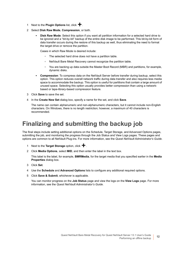- 1 Next to the **Plugin Options** list, click  $\mathbf{\div}$ .
- 2 Select **Disk Raw Mode**, **Compression**, or both.
	- **Disk Raw Mode:** Select this option if you want all partition information for a selected hard drive to be ignored and a "bit-by-bit" backup of the entire disk image to be performed. This bit-by-bit form of data transfer occurs during the restore of this backup as well, thus eliminating the need to format the target drive or remove the partition.

Cases in which Raw Mode is desired include:

- **▫** The selected hard drive does not have a partition table.
- **▫** NetVault Bare Metal Recovery cannot recognize the partition table.
- **▫** You are backing up data outside the Master Boot Record (MBR) and partitions, for example, dynamic disks.
- **▪ Compression**: To compress data on the NetVault Server before transfer during backup, select this option. This option reduces overall network traffic during data transfer and also requires less media space to accommodate the backup. This option is useful for partitions that contain a large amount of unused space. Selecting this option usually provides better compression than using a networkbased or tape-library-based compression feature.
- 3 Click **Save** to save the set.
- 4 In the **Create New Set** dialog box, specify a name for the set, and click **Save**.

The name can contain alphanumeric and non-alphanumeric characters, but it cannot include non-English characters. On Windows, there is no length restriction; however, a maximum of 40 characters is recommended.

### <span id="page-11-0"></span>**Finalizing and submitting the backup job**

The final steps include setting additional options on the Schedule, Target Storage, and Advanced Options pages, submitting the job, and monitoring the progress through the Job Status and View Logs pages. These pages and options are common to all NetVault Plug-ins. For more information, see the *Quest NetVault Administrator's Guide*.

- 1 Next to the **Target Storage** option, click **+**.
- 2 Click **Media Options**, select **MID**, and then enter the label in the text box.

This label is the label, for example, **BMRMedia**, for the target media that you specified earlier in the **Media Properties** dialog box.

- 3 Click **Set**.
- 4 Use the **Schedule** and **Advanced Options** lists to configure any additional required options.
- 5 Click **Save & Submit**, whichever is applicable.

You can monitor progress on the **Job Status** page and view the logs on the **View Logs** page. For more information, see the *Quest NetVault Administrator's Guide*.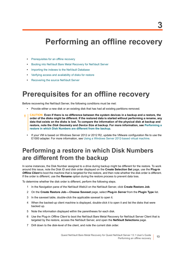# <span id="page-12-3"></span>**Performing an offline recovery**

- <span id="page-12-0"></span>**•** [Prerequisites for an offline recovery](#page-12-1)
- **•** [Booting into NetVault Bare Metal Recovery for NetVault Server](#page-13-0)
- **•** [Importing the indexes to the NetVault Database](#page-13-1)
- **•** [Verifying access and availability of disks for restore](#page-14-0)
- **•** [Recovering the source NetVault Server](#page-14-1)

## <span id="page-12-1"></span>**Prerequisites for an offline recovery**

Before recovering the NetVault Server, the following conditions must be met:

- **•** Provide either a new disk or an existing disk that has had all existing partitions removed.
- **CAUTION: Even if there is no difference between the system devices in a backup and a restore, the order of the disks might be different. If the restored data is started without performing a rename, any data that exists on the disks is lost. To compare the information of the physical disk at backup and restore, note the** *Disk Geometry* **and** *Device Size* **at backup. For more information, see [Performing a](#page-12-2)  [restore in which Disk Numbers are different from the backup.](#page-12-2)**
	- **•** If your VM is based on Windows Server 2012 or 2012 R2, update the VMware configuration file to use the E1000 adapter. For more information, see [Using a Windows Server 2012-based virtual machine.](#page-6-5)

### <span id="page-12-2"></span>**Performing a restore in which Disk Numbers are different from the backup**

In some instances, the Disk Number assigned to a drive during backup might be different for the restore. To work around this issue, note the Disk ID and disk order displayed on the **Create Selection Set** page, use the **Plug-in**  *Offline Client* to boot the machine that is targeted for the restore, and then note whether the disk order is different. If the order is different, use the **Rename** option during the restore process to prevent data loss.

To determine whether the disk order is different, perform the following steps.

- 1 In the Navigation pane of the NetVault WebUI on the NetVault Server, click **Create Restore Job**.
- 2 On the **Create Restore Job—Choose Saveset** page, select **Plug-in** *Server* from the **Plugin Type** list.
- 3 In the saveset table, double-click the applicable saveset to open it.
- 4 When the backed-up client machine is displayed, double-click it to open it and list the disks that were backed up.
- 5 Note the information displayed within the parentheses for each disk.
- 6 Use the Plug-in *Offline Client* to boot the NetVault Bare Metal Recovery for NetVault Server Client that is targeted by the restore, access the NetVault Server, and open the **NetVault Selections** page.
- 7 Drill down to the disk-level of the client, and note the current disk order.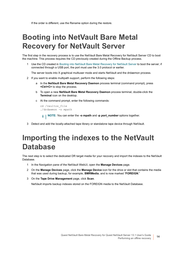If the order is different, use the Rename option during the restore.

# <span id="page-13-0"></span>**Booting into NetVault Bare Metal Recovery for NetVault Server**

The first step in the recovery process is to use the NetVault Bare Metal Recovery for NetVault Server CD to boot the machine. This process requires the CD previously created during the Offline Backup process.

1 Use the CD created in [Booting into NetVault Bare Metal Recovery for NetVault Server](#page-6-6) to boot the server; if connected through a USB port, the port must use the 3.0 protocol or earlier.

The server boots into X graphical multiuser mode and starts NetVault and the drdaemon process.

- 2 If you want to enable multipath support, perform the following steps:
	- a In the **NetVault Bare Metal Recovery Daemon** process terminal (command prompt), press **<Ctrl+C>** to stop the process.
	- b To open a new **NetVault Bare Metal Recovery Daemon** process terminal, double-click the **Terminal** icon on the desktop.
	- c At the command prompt, enter the following commands:

```
cd /vaultos_file
./drdaemon -o mpath
```
- **NOTE:** You can enter the **-o mpath** and **-p** *port\_number* options together.
- 3 Detect and add the locally-attached tape library or standalone tape device through NetVault.

## <span id="page-13-1"></span>**Importing the indexes to the NetVault Database**

The next step is to select the dedicated DR target media for your recovery and import the indexes to the NetVault Database.

- 1 In the Navigation pane of the NetVault WebUI, open the **Manage Devices** page.
- 2 On the **Manage Devices** page, click the **Manage Device** icon for the drive or slot that contains the media that was used during backup, for example, **BMRMedia**, and is now marked "**FOREIGN**."
- 3 On the **Tape Drive Management** page, click **Scan**.

NetVault imports backup indexes stored on the FOREIGN media to the NetVault Database.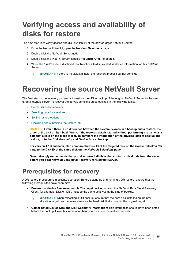# <span id="page-14-0"></span>**Verifying access and availability of disks for restore**

The next step is to verify access and disk availability of the new or target NetVault Server.

- 1 From the NetVault WebUI, open the **NetVault Selections** page.
- 2 Double-click the NetVault Server node.
- 3 Double-click the Plug-in *Server*, labeled **"VaultDR APM**," to open it.
- 4 When the **"self"** node is displayed, double-click it to display all disk device information for this NetVault Server.

**i** | **IMPORTANT:** If there is no disk available, the recovery process cannot continue.

## <span id="page-14-1"></span>**Recovering the source NetVault Server**

The final step in the recovery process is to restore the offline backup of the original NetVault Server to the new or target NetVault Server. To recover the server, complete steps outlined in the following topics.

- **•** [Prerequisites for recovery](#page-14-2)
- **•** [Selecting data for a restore](#page-15-0)
- **•** [Setting restore options](#page-15-1)
- **•** [Finalizing and submitting the restore job](#page-15-2)
- **CAUTION: Even if there is no difference between the system devices in a backup and a restore, the**  τH **order of the disks might be different. If the restored data is started without performing a rename, any data that exists on the disks is lost. To compare the information of the physical disk at backup and restore, note the** *Disk Geometry* **and** *Device Size* **at backup.**

**For version 1.1.6 and later, also compare the Disk ID of the targeted disk on the** *Create Selection Set*  **page to the Disk ID of the same disk on the** *NetVault Selections* **page.**

**Quest strongly recommends that you disconnect all disks that contain critical data from the server before you boot NetVault Bare Metal Recovery for NetVault Server.**

### <span id="page-14-2"></span>**Prerequisites for recovery**

A DR restore procedure is a delicate operation. Before setting up and running a DR restore, ensure that the following prerequisites have been met:

**• Ensure that device filenames match**: The target device name on the NetVault Bare Metal Recovery Client, for example, Disk 0 (IDE), must be the same as it was at the time of backup.

**IMPORTANT:** When relocating a DR backup, ensure that the hard disk installed on the new ÷ relocation target has the same name as the hard disk that existed in the original target.

**• Gather noted Device Size and Disk Geometry information**: This information should have been noted before the backup. Have this information handy to complete the restore properly.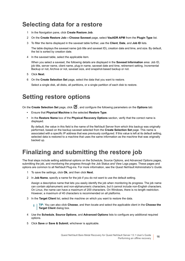### <span id="page-15-0"></span>**Selecting data for a restore**

- 1 In the Navigation pane, click **Create Restore Job**.
- 2 On the **Create Restore Job—Choose Saveset** page, select **VaultDR APM** from the **Plugin Type** list.
- 3 To filter the items displayed in the saveset table further, use the **Client**, **Date**, and **Job ID** lists.

The table displays the saveset name (job title and saveset ID), creation date and time, and size. By default, the list is sorted by creation date.

4 In the saveset table, select the applicable item.

When you select a saveset, the following details are displayed in the **Saveset Information** area: Job ID, job title, server name, client name, plug-in name, saveset date and time, retirement setting, Incremental Backup or not, Archive or not, saveset size, and snapshot-based backup or not.

- 5 Click **Next**.
- 6 On the **Create Selection Set** page, select the data that you want to restore.

Select a single disk, all disks, all partitions, or a single partition of each disk to restore.

### <span id="page-15-1"></span>**Setting restore options**

On the **Create Selection Set** page, click **1**, and configure the following parameters on the **Options** tab:

- **•** Ensure that **Physical Machine** is the selected **Restore Type**.
- **•** In the **Restore Name** box of the **Physical Recovery Options** section, verify that the correct name is displayed.

By default, the value in this field is the name of the NetVault Server from which this backup was originally performed, based on the backup saveset selected from the **Create Selection Set** page. This name is associated with a specific IP address that was previously configured. If this value is left at its default setting, selected data is restored to a machine that uses the same information as the machine that was originally backed up.

### <span id="page-15-2"></span>**Finalizing and submitting the restore job**

The final steps include setting additional options on the Schedule, Source Options, and Advanced Options pages, submitting the job, and monitoring the progress through the Job Status and View Logs pages. These pages and options are common to all NetVault Plug-ins. For more information, see the *Quest NetVault Administrator's Guide*.

- 1 To save the settings, click **Ok**, and then click **Next**.
- 2 In **Job Name**, specify a name for the job if you do not want to use the default setting.

Assign a descriptive name that lets you easily identify the job when monitoring its progress. The job name can contain alphanumeric and non-alphanumeric characters, but it cannot include non-English characters. On Linux, the name can have a maximum of 200 characters. On Windows, there is no length restriction. However, a maximum of 40 characters is recommended on all platforms.

3 In the **Target Client** list, select the machine on which you want to restore the data.

**TIP:** You can also click **Choose**, and then locate and select the applicable client in the **Choose the**  ÷. **Target Client** dialog box.

- 4 Use the **Schedule**, **Source Options**, and **Advanced Options** lists to configure any additional required options.
- 5 Click **Save** or **Save & Submit**, whichever is applicable.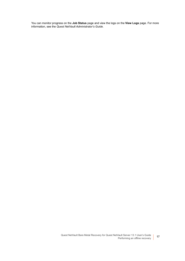You can monitor progress on the **Job Status** page and view the logs on the **View Logs** page. For more information, see the *Quest NetVault Administrator's Guide*.